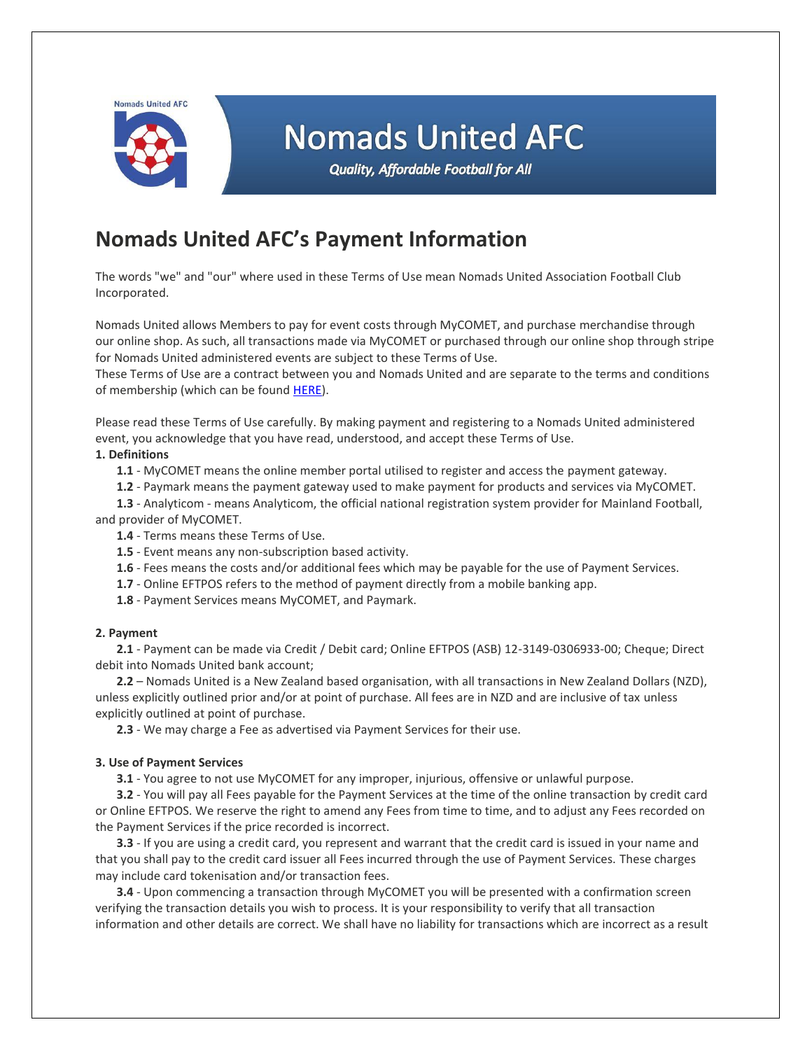Nomads United AFC



# **Nomads United AFC**

**Quality, Affordable Football for All** 

## **Nomads United AFC's Payment Information**

The words "we" and "our" where used in these Terms of Use mean Nomads United Association Football Club Incorporated.

Nomads United allows Members to pay for event costs through MyCOMET, and purchase merchandise through our online shop. As such, all transactions made via MyCOMET or purchased through our online shop through stripe for Nomads United administered events are subject to these Terms of Use.

These Terms of Use are a contract between you and Nomads United and are separate to the terms and conditions of membership (which can be found [HERE\)](file:///C:/Users/crowdedhouse/Dropbox/Nomads%20United%20AFC%20Club%20Dropbox%203/Club%20Documents/Club%20Policies/Nomads%20United%20AFC%20Terms%20and%20Conditions.pdf).

Please read these Terms of Use carefully. By making payment and registering to a Nomads United administered event, you acknowledge that you have read, understood, and accept these Terms of Use.

### **1. Definitions**

- **1.1** MyCOMET means the online member portal utilised to register and access the payment gateway.
- **1.2** Paymark means the payment gateway used to make payment for products and services via MyCOMET.

**1.3** - Analyticom - means Analyticom, the official national registration system provider for Mainland Football, and provider of MyCOMET.

- **1.4** Terms means these Terms of Use.
- **1.5** Event means any non-subscription based activity.
- **1.6** Fees means the costs and/or additional fees which may be payable for the use of Payment Services.
- **1.7** Online EFTPOS refers to the method of payment directly from a mobile banking app.
- **1.8** Payment Services means MyCOMET, and Paymark.

### **2. Payment**

**2.1** - Payment can be made via Credit / Debit card; Online EFTPOS (ASB) 12-3149-0306933-00; Cheque; Direct debit into Nomads United bank account;

**2.2** – Nomads United is a New Zealand based organisation, with all transactions in New Zealand Dollars (NZD), unless explicitly outlined prior and/or at point of purchase. All fees are in NZD and are inclusive of tax unless explicitly outlined at point of purchase.

**2.3** - We may charge a Fee as advertised via Payment Services for their use.

### **3. Use of Payment Services**

**3.1** - You agree to not use MyCOMET for any improper, injurious, offensive or unlawful purpose.

**3.2** - You will pay all Fees payable for the Payment Services at the time of the online transaction by credit card or Online EFTPOS. We reserve the right to amend any Fees from time to time, and to adjust any Fees recorded on the Payment Services if the price recorded is incorrect.

**3.3** - If you are using a credit card, you represent and warrant that the credit card is issued in your name and that you shall pay to the credit card issuer all Fees incurred through the use of Payment Services. These charges may include card tokenisation and/or transaction fees.

**3.4** - Upon commencing a transaction through MyCOMET you will be presented with a confirmation screen verifying the transaction details you wish to process. It is your responsibility to verify that all transaction information and other details are correct. We shall have no liability for transactions which are incorrect as a result